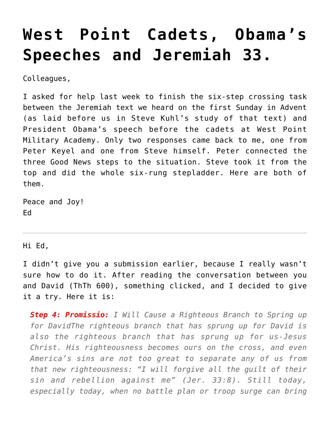## **[West Point Cadets, Obama's](https://crossings.org/west-point-cadets-obamas-speeches-and-jeremiah-33/) [Speeches and Jeremiah 33.](https://crossings.org/west-point-cadets-obamas-speeches-and-jeremiah-33/)**

Colleagues,

I asked for help last week to finish the six-step crossing task between the Jeremiah text we heard on the first Sunday in Advent (as laid before us in Steve Kuhl's study of that text) and President Obama's speech before the cadets at West Point Military Academy. Only two responses came back to me, one from Peter Keyel and one from Steve himself. Peter connected the three Good News steps to the situation. Steve took it from the top and did the whole six-rung stepladder. Here are both of them.

Peace and Joy! Ed

Hi Ed,

I didn't give you a submission earlier, because I really wasn't sure how to do it. After reading the conversation between you and David (ThTh 600), something clicked, and I decided to give it a try. Here it is:

*Step 4: Promissio: I Will Cause a Righteous Branch to Spring up for DavidThe righteous branch that has sprung up for David is also the righteous branch that has sprung up for us-Jesus Christ. His righteousness becomes ours on the cross, and even America's sins are not too great to separate any of us from that new righteousness: "I will forgive all the guilt of their sin and rebellion against me" (Jer. 33:8). Still today, especially today, when no battle plan or troop surge can bring*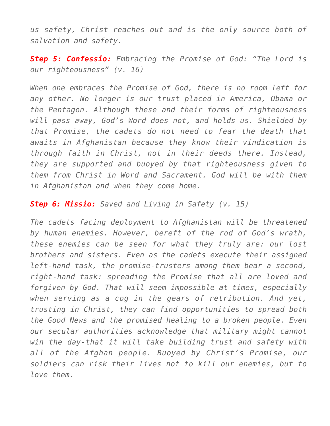*us safety, Christ reaches out and is the only source both of salvation and safety.*

*Step 5: Confessio: Embracing the Promise of God: "The Lord is our righteousness" (v. 16)*

*When one embraces the Promise of God, there is no room left for any other. No longer is our trust placed in America, Obama or the Pentagon. Although these and their forms of righteousness will pass away, God's Word does not, and holds us. Shielded by that Promise, the cadets do not need to fear the death that awaits in Afghanistan because they know their vindication is through faith in Christ, not in their deeds there. Instead, they are supported and buoyed by that righteousness given to them from Christ in Word and Sacrament. God will be with them in Afghanistan and when they come home.*

*Step 6: Missio: Saved and Living in Safety (v. 15)*

*The cadets facing deployment to Afghanistan will be threatened by human enemies. However, bereft of the rod of God's wrath, these enemies can be seen for what they truly are: our lost brothers and sisters. Even as the cadets execute their assigned left-hand task, the promise-trusters among them bear a second, right-hand task: spreading the Promise that all are loved and forgiven by God. That will seem impossible at times, especially when serving as a cog in the gears of retribution. And yet, trusting in Christ, they can find opportunities to spread both the Good News and the promised healing to a broken people. Even our secular authorities acknowledge that military might cannot win the day-that it will take building trust and safety with all of the Afghan people. Buoyed by Christ's Promise, our soldiers can risk their lives not to kill our enemies, but to love them.*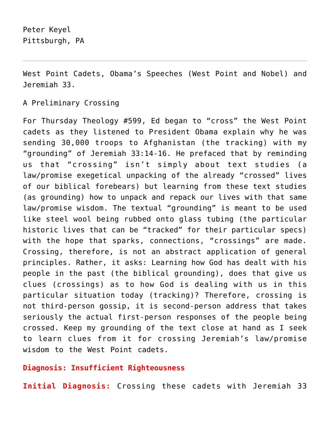West Point Cadets, Obama's Speeches (West Point and Nobel) and Jeremiah 33.

A Preliminary Crossing

For Thursday Theology #599, Ed began to "cross" the West Point cadets as they listened to President Obama explain why he was sending 30,000 troops to Afghanistan (the tracking) with my "grounding" of Jeremiah 33:14-16. He prefaced that by reminding us that "crossing" isn't simply about text studies (a law/promise exegetical unpacking of the already "crossed" lives of our biblical forebears) but learning from these text studies (as grounding) how to unpack and repack our lives with that same law/promise wisdom. The textual "grounding" is meant to be used like steel wool being rubbed onto glass tubing (the particular historic lives that can be "tracked" for their particular specs) with the hope that sparks, connections, "crossings" are made. Crossing, therefore, is not an abstract application of general principles. Rather, it asks: Learning how God has dealt with his people in the past (the biblical grounding), does that give us clues (crossings) as to how God is dealing with us in this particular situation today (tracking)? Therefore, crossing is not third-person gossip, it is second-person address that takes seriously the actual first-person responses of the people being crossed. Keep my grounding of the text close at hand as I seek to learn clues from it for crossing Jeremiah's law/promise wisdom to the West Point cadets.

## **Diagnosis: Insufficient Righteousness**

**Initial Diagnosis:** Crossing these cadets with Jeremiah 33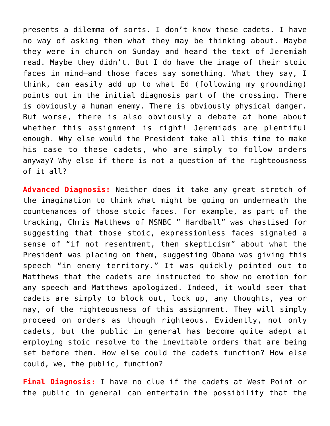presents a dilemma of sorts. I don't know these cadets. I have no way of asking them what they may be thinking about. Maybe they were in church on Sunday and heard the text of Jeremiah read. Maybe they didn't. But I do have the image of their stoic faces in mind–and those faces say something. What they say, I think, can easily add up to what Ed (following my grounding) points out in the initial diagnosis part of the crossing. There is obviously a human enemy. There is obviously physical danger. But worse, there is also obviously a debate at home about whether this assignment is right! Jeremiads are plentiful enough. Why else would the President take all this time to make his case to these cadets, who are simply to follow orders anyway? Why else if there is not a question of the righteousness of it all?

**Advanced Diagnosis:** Neither does it take any great stretch of the imagination to think what might be going on underneath the countenances of those stoic faces. For example, as part of the tracking, Chris Matthews of MSNBC " Hardball" was chastised for suggesting that those stoic, expressionless faces signaled a sense of "if not resentment, then skepticism" about what the President was placing on them, suggesting Obama was giving this speech "in enemy territory." It was quickly pointed out to Matthews that the cadets are instructed to show no emotion for any speech-and Matthews apologized. Indeed, it would seem that cadets are simply to block out, lock up, any thoughts, yea or nay, of the righteousness of this assignment. They will simply proceed on orders as though righteous. Evidently, not only cadets, but the public in general has become quite adept at employing stoic resolve to the inevitable orders that are being set before them. How else could the cadets function? How else could, we, the public, function?

**Final Diagnosis:** I have no clue if the cadets at West Point or the public in general can entertain the possibility that the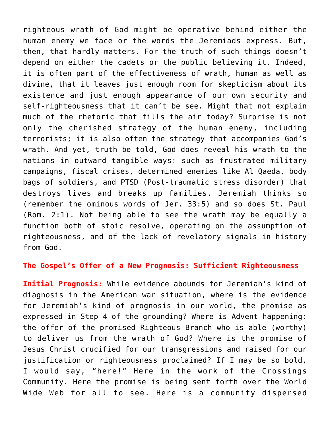righteous wrath of God might be operative behind either the human enemy we face or the words the Jeremiads express. But, then, that hardly matters. For the truth of such things doesn't depend on either the cadets or the public believing it. Indeed, it is often part of the effectiveness of wrath, human as well as divine, that it leaves just enough room for skepticism about its existence and just enough appearance of our own security and self-righteousness that it can't be see. Might that not explain much of the rhetoric that fills the air today? Surprise is not only the cherished strategy of the human enemy, including terrorists; it is also often the strategy that accompanies God's wrath. And yet, truth be told, God does reveal his wrath to the nations in outward tangible ways: such as frustrated military campaigns, fiscal crises, determined enemies like Al Qaeda, body bags of soldiers, and PTSD (Post-traumatic stress disorder) that destroys lives and breaks up families. Jeremiah thinks so (remember the ominous words of Jer. 33:5) and so does St. Paul (Rom. 2:1). Not being able to see the wrath may be equally a function both of stoic resolve, operating on the assumption of righteousness, and of the lack of revelatory signals in history from God.

## **The Gospel's Offer of a New Prognosis: Sufficient Righteousness**

**Initial Prognosis:** While evidence abounds for Jeremiah's kind of diagnosis in the American war situation, where is the evidence for Jeremiah's kind of prognosis in our world, the promise as expressed in Step 4 of the grounding? Where is Advent happening: the offer of the promised Righteous Branch who is able (worthy) to deliver us from the wrath of God? Where is the promise of Jesus Christ crucified for our transgressions and raised for our justification or righteousness proclaimed? If I may be so bold, I would say, "here!" Here in the work of the Crossings Community. Here the promise is being sent forth over the World Wide Web for all to see. Here is a community dispersed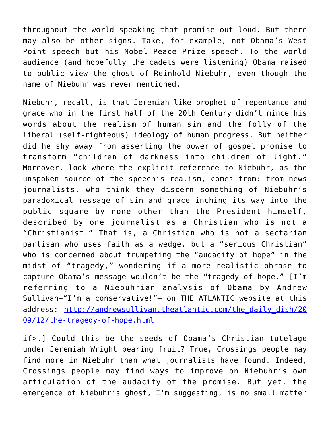throughout the world speaking that promise out loud. But there may also be other signs. Take, for example, not Obama's West Point speech but his Nobel Peace Prize speech. To the world audience (and hopefully the cadets were listening) Obama raised to public view the ghost of Reinhold Niebuhr, even though the name of Niebuhr was never mentioned.

Niebuhr, recall, is that Jeremiah-like prophet of repentance and grace who in the first half of the 20th Century didn't mince his words about the realism of human sin and the folly of the liberal (self-righteous) ideology of human progress. But neither did he shy away from asserting the power of gospel promise to transform "children of darkness into children of light." Moreover, look where the explicit reference to Niebuhr, as the unspoken source of the speech's realism, comes from: from news journalists, who think they discern something of Niebuhr's paradoxical message of sin and grace inching its way into the public square by none other than the President himself, described by one journalist as a Christian who is not a "Christianist." That is, a Christian who is not a sectarian partisan who uses faith as a wedge, but a "serious Christian" who is concerned about trumpeting the "audacity of hope" in the midst of "tragedy," wondering if a more realistic phrase to capture Obama's message wouldn't be the "tragedy of hope." [I'm referring to a Niebuhrian analysis of Obama by Andrew Sullivan–"I'm a conservative!"– on THE ATLANTIC website at this address: [http://andrewsullivan.theatlantic.com/the\\_daily\\_dish/20](http://andrewsullivan.theatlantic.com/the_daily_dish/2009/12/the-tragedy-of-hope.html) [09/12/the-tragedy-of-hope.html](http://andrewsullivan.theatlantic.com/the_daily_dish/2009/12/the-tragedy-of-hope.html)

if>.] Could this be the seeds of Obama's Christian tutelage under Jeremiah Wright bearing fruit? True, Crossings people may find more in Niebuhr than what journalists have found. Indeed, Crossings people may find ways to improve on Niebuhr's own articulation of the audacity of the promise. But yet, the emergence of Niebuhr's ghost, I'm suggesting, is no small matter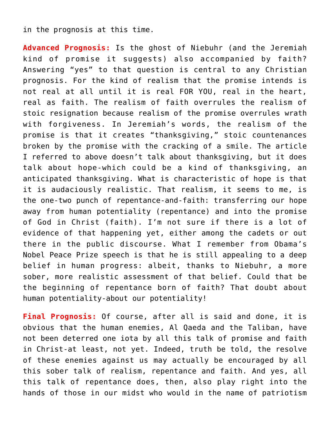## in the prognosis at this time.

**Advanced Prognosis:** Is the ghost of Niebuhr (and the Jeremiah kind of promise it suggests) also accompanied by faith? Answering "yes" to that question is central to any Christian prognosis. For the kind of realism that the promise intends is not real at all until it is real FOR YOU, real in the heart, real as faith. The realism of faith overrules the realism of stoic resignation because realism of the promise overrules wrath with forgiveness. In Jeremiah's words, the realism of the promise is that it creates "thanksgiving," stoic countenances broken by the promise with the cracking of a smile. The article I referred to above doesn't talk about thanksgiving, but it does talk about hope-which could be a kind of thanksgiving, an anticipated thanksgiving. What is characteristic of hope is that it is audaciously realistic. That realism, it seems to me, is the one-two punch of repentance-and-faith: transferring our hope away from human potentiality (repentance) and into the promise of God in Christ (faith). I'm not sure if there is a lot of evidence of that happening yet, either among the cadets or out there in the public discourse. What I remember from Obama's Nobel Peace Prize speech is that he is still appealing to a deep belief in human progress: albeit, thanks to Niebuhr, a more sober, more realistic assessment of that belief. Could that be the beginning of repentance born of faith? That doubt about human potentiality-about our potentiality!

**Final Prognosis:** Of course, after all is said and done, it is obvious that the human enemies, Al Qaeda and the Taliban, have not been deterred one iota by all this talk of promise and faith in Christ-at least, not yet. Indeed, truth be told, the resolve of these enemies against us may actually be encouraged by all this sober talk of realism, repentance and faith. And yes, all this talk of repentance does, then, also play right into the hands of those in our midst who would in the name of patriotism